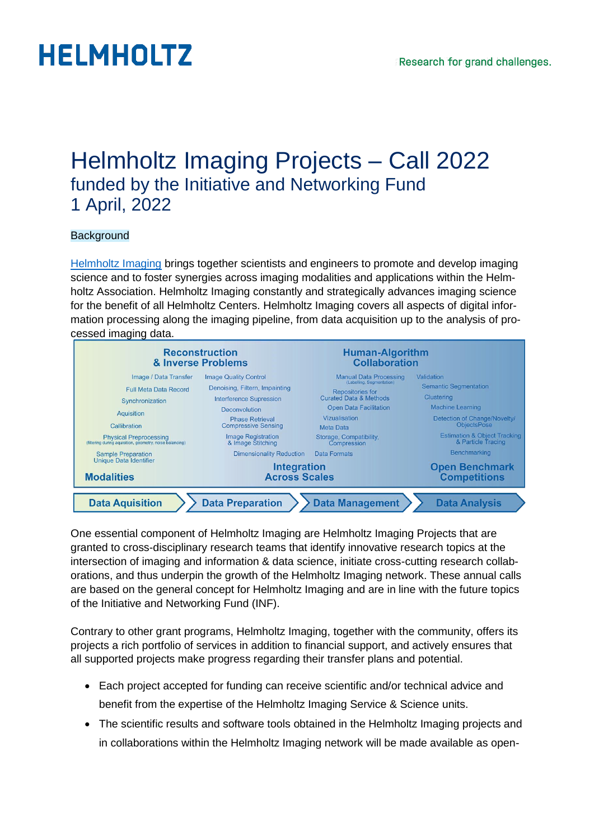### Helmholtz Imaging Projects – Call 2022 funded by the Initiative and Networking Fund 1 April, 2022

### **Background**

[Helmholtz Imaging](https://www.helmholtz-imaging.de/) brings together scientists and engineers to promote and develop imaging science and to foster synergies across imaging modalities and applications within the Helmholtz Association. Helmholtz Imaging constantly and strategically advances imaging science for the benefit of all Helmholtz Centers. Helmholtz Imaging covers all aspects of digital information processing along the imaging pipeline, from data acquisition up to the analysis of processed imaging data.



One essential component of Helmholtz Imaging are Helmholtz Imaging Projects that are granted to cross-disciplinary research teams that identify innovative research topics at the intersection of imaging and information & data science, initiate cross-cutting research collaborations, and thus underpin the growth of the Helmholtz Imaging network. These annual calls are based on the general concept for Helmholtz Imaging and are in line with the future topics of the Initiative and Networking Fund (INF).

Contrary to other grant programs, Helmholtz Imaging, together with the community, offers its projects a rich portfolio of services in addition to financial support, and actively ensures that all supported projects make progress regarding their transfer plans and potential.

- Each project accepted for funding can receive scientific and/or technical advice and benefit from the expertise of the Helmholtz Imaging Service & Science units.
- The scientific results and software tools obtained in the Helmholtz Imaging projects and in collaborations within the Helmholtz Imaging network will be made available as open-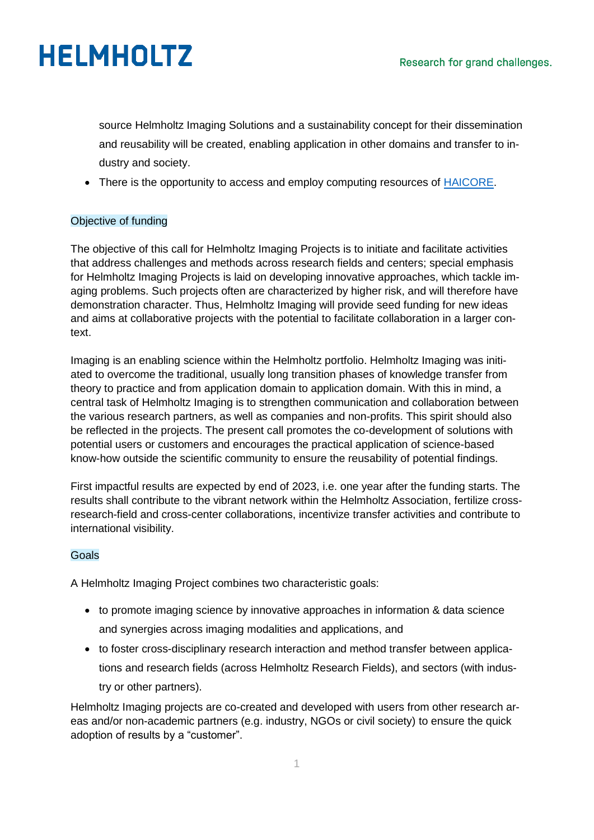source Helmholtz Imaging Solutions and a sustainability concept for their dissemination and reusability will be created, enabling application in other domains and transfer to industry and society.

• There is the opportunity to access and employ computing resources of [HAICORE.](https://www.helmholtz.ai/themenmenue/you-helmholtz-ai/computing-resources/index.html)

### Objective of funding

The objective of this call for Helmholtz Imaging Projects is to initiate and facilitate activities that address challenges and methods across research fields and centers; special emphasis for Helmholtz Imaging Projects is laid on developing innovative approaches, which tackle imaging problems. Such projects often are characterized by higher risk, and will therefore have demonstration character. Thus, Helmholtz Imaging will provide seed funding for new ideas and aims at collaborative projects with the potential to facilitate collaboration in a larger context.

Imaging is an enabling science within the Helmholtz portfolio. Helmholtz Imaging was initiated to overcome the traditional, usually long transition phases of knowledge transfer from theory to practice and from application domain to application domain. With this in mind, a central task of Helmholtz Imaging is to strengthen communication and collaboration between the various research partners, as well as companies and non-profits. This spirit should also be reflected in the projects. The present call promotes the co-development of solutions with potential users or customers and encourages the practical application of science-based know-how outside the scientific community to ensure the reusability of potential findings.

First impactful results are expected by end of 2023, i.e. one year after the funding starts. The results shall contribute to the vibrant network within the Helmholtz Association, fertilize crossresearch-field and cross-center collaborations, incentivize transfer activities and contribute to international visibility.

### Goals

A Helmholtz Imaging Project combines two characteristic goals:

- to promote imaging science by innovative approaches in information & data science and synergies across imaging modalities and applications, and
- to foster cross-disciplinary research interaction and method transfer between applications and research fields (across Helmholtz Research Fields), and sectors (with industry or other partners).

Helmholtz Imaging projects are co-created and developed with users from other research areas and/or non-academic partners (e.g. industry, NGOs or civil society) to ensure the quick adoption of results by a "customer".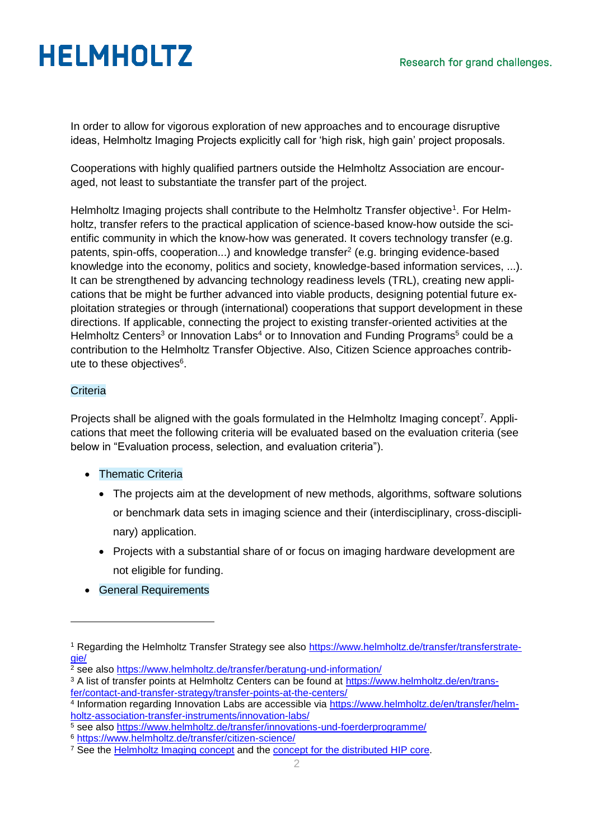In order to allow for vigorous exploration of new approaches and to encourage disruptive ideas, Helmholtz Imaging Projects explicitly call for 'high risk, high gain' project proposals.

Cooperations with highly qualified partners outside the Helmholtz Association are encouraged, not least to substantiate the transfer part of the project.

Helmholtz Imaging projects shall contribute to the Helmholtz Transfer objective<sup>1</sup>. For Helmholtz, transfer refers to the practical application of science-based know-how outside the scientific community in which the know-how was generated. It covers technology transfer (e.g. patents, spin-offs, cooperation...) and knowledge transfer<sup>2</sup> (e.g. bringing evidence-based knowledge into the economy, politics and society, knowledge-based information services, ...). It can be strengthened by advancing technology readiness levels (TRL), creating new applications that be might be further advanced into viable products, designing potential future exploitation strategies or through (international) cooperations that support development in these directions. If applicable, connecting the project to existing transfer-oriented activities at the Helmholtz Centers<sup>3</sup> or Innovation Labs<sup>4</sup> or to Innovation and Funding Programs<sup>5</sup> could be a contribution to the Helmholtz Transfer Objective. Also, Citizen Science approaches contribute to these objectives<sup>6</sup>.

### **Criteria**

-

Projects shall be aligned with the goals formulated in the Helmholtz Imaging concept<sup>7</sup>. Applications that meet the following criteria will be evaluated based on the evaluation criteria (see below in "Evaluation process, selection, and evaluation criteria").

- Thematic Criteria
	- The projects aim at the development of new methods, algorithms, software solutions or benchmark data sets in imaging science and their (interdisciplinary, cross-disciplinary) application.
	- Projects with a substantial share of or focus on imaging hardware development are not eligible for funding.
- General Requirements

<sup>1</sup> Regarding the Helmholtz Transfer Strategy see also [https://www.helmholtz.de/transfer/transferstrate](https://www.helmholtz.de/transfer/transferstrategie/)[gie/](https://www.helmholtz.de/transfer/transferstrategie/)

<sup>2</sup> see also<https://www.helmholtz.de/transfer/beratung-und-information/>

<sup>&</sup>lt;sup>3</sup> A list of transfer points at Helmholtz Centers can be found at [https://www.helmholtz.de/en/trans](https://www.helmholtz.de/en/transfer/contact-and-transfer-strategy/transfer-points-at-the-centers/)[fer/contact-and-transfer-strategy/transfer-points-at-the-centers/](https://www.helmholtz.de/en/transfer/contact-and-transfer-strategy/transfer-points-at-the-centers/)

<sup>4</sup> Information regarding Innovation Labs are accessible via [https://www.helmholtz.de/en/transfer/helm](https://www.helmholtz.de/en/transfer/helmholtz-association-transfer-instruments/innovation-labs/)[holtz-association-transfer-instruments/innovation-labs/](https://www.helmholtz.de/en/transfer/helmholtz-association-transfer-instruments/innovation-labs/)

 $\frac{1}{5}$  see also<https://www.helmholtz.de/transfer/innovations-und-foerderprogramme/>

<sup>6</sup> <https://www.helmholtz.de/transfer/citizen-science/>

<sup>&</sup>lt;sup>7</sup> See the [Helmholtz Imaging](https://www.helmholtz.de/fileadmin/user_upload/01_forschung/Helmholtz_Inkubator_HIP.pdf) concept and the [concept for the distributed HIP](https://www.helmholtz.de/assets/helmholtz_gemeinschaft/Downloads/HIP_joint_proposal_final_version_New_Layout.pdf) core.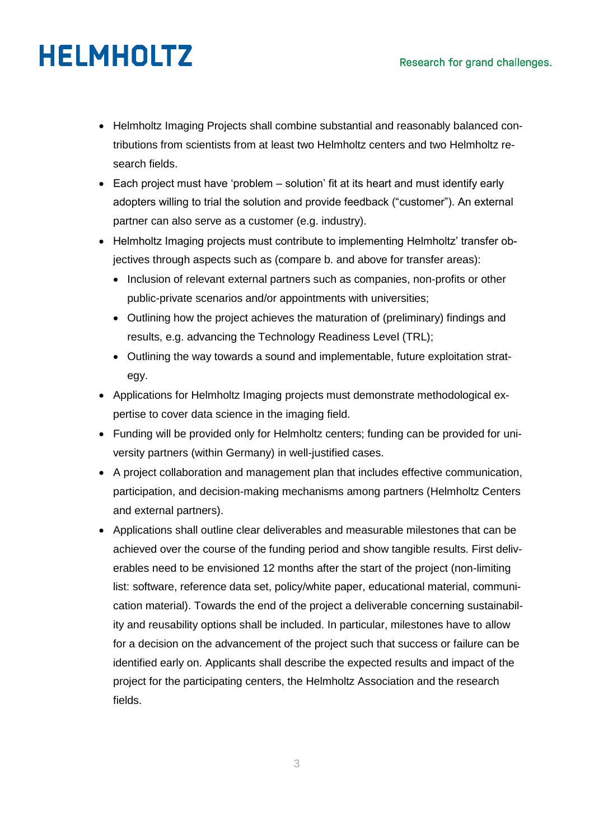- Helmholtz Imaging Projects shall combine substantial and reasonably balanced contributions from scientists from at least two Helmholtz centers and two Helmholtz research fields.
- Each project must have 'problem solution' fit at its heart and must identify early adopters willing to trial the solution and provide feedback ("customer"). An external partner can also serve as a customer (e.g. industry).
- Helmholtz Imaging projects must contribute to implementing Helmholtz' transfer objectives through aspects such as (compare b. and above for transfer areas):
	- Inclusion of relevant external partners such as companies, non-profits or other public-private scenarios and/or appointments with universities;
	- Outlining how the project achieves the maturation of (preliminary) findings and results, e.g. advancing the Technology Readiness Level (TRL);
	- Outlining the way towards a sound and implementable, future exploitation strategy.
- Applications for Helmholtz Imaging projects must demonstrate methodological expertise to cover data science in the imaging field.
- Funding will be provided only for Helmholtz centers; funding can be provided for university partners (within Germany) in well-justified cases.
- A project collaboration and management plan that includes effective communication, participation, and decision-making mechanisms among partners (Helmholtz Centers and external partners).
- Applications shall outline clear deliverables and measurable milestones that can be achieved over the course of the funding period and show tangible results. First deliverables need to be envisioned 12 months after the start of the project (non-limiting list: software, reference data set, policy/white paper, educational material, communication material). Towards the end of the project a deliverable concerning sustainability and reusability options shall be included. In particular, milestones have to allow for a decision on the advancement of the project such that success or failure can be identified early on. Applicants shall describe the expected results and impact of the project for the participating centers, the Helmholtz Association and the research fields.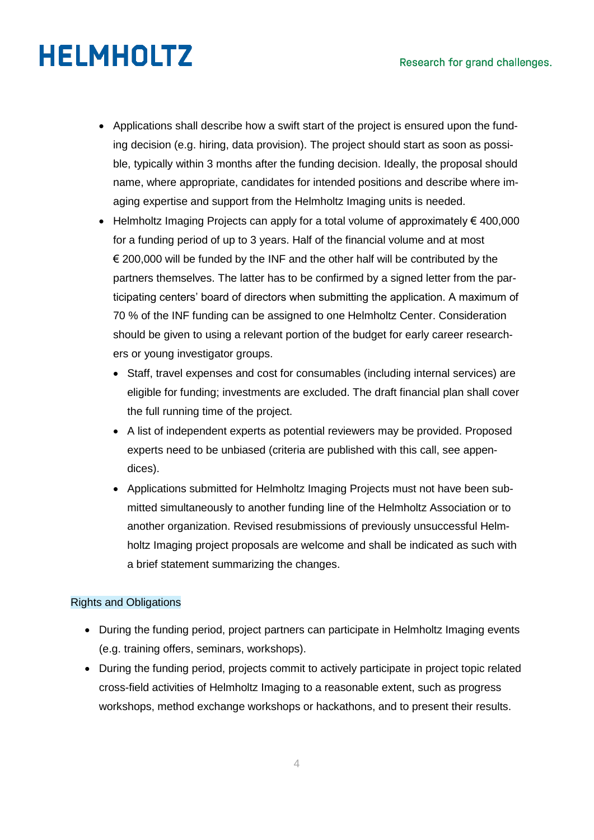- Applications shall describe how a swift start of the project is ensured upon the funding decision (e.g. hiring, data provision). The project should start as soon as possible, typically within 3 months after the funding decision. Ideally, the proposal should name, where appropriate, candidates for intended positions and describe where imaging expertise and support from the Helmholtz Imaging units is needed.
- $\bullet$  Helmholtz Imaging Projects can apply for a total volume of approximately € 400,000 for a funding period of up to 3 years. Half of the financial volume and at most  $\epsilon$  200,000 will be funded by the INF and the other half will be contributed by the partners themselves. The latter has to be confirmed by a signed letter from the participating centers' board of directors when submitting the application. A maximum of 70 % of the INF funding can be assigned to one Helmholtz Center. Consideration should be given to using a relevant portion of the budget for early career researchers or young investigator groups.
	- Staff, travel expenses and cost for consumables (including internal services) are eligible for funding; investments are excluded. The draft financial plan shall cover the full running time of the project.
	- A list of independent experts as potential reviewers may be provided. Proposed experts need to be unbiased (criteria are published with this call, see appendices).
	- Applications submitted for Helmholtz Imaging Projects must not have been submitted simultaneously to another funding line of the Helmholtz Association or to another organization. Revised resubmissions of previously unsuccessful Helmholtz Imaging project proposals are welcome and shall be indicated as such with a brief statement summarizing the changes.

### Rights and Obligations

- During the funding period, project partners can participate in Helmholtz Imaging events (e.g. training offers, seminars, workshops).
- During the funding period, projects commit to actively participate in project topic related cross-field activities of Helmholtz Imaging to a reasonable extent, such as progress workshops, method exchange workshops or hackathons, and to present their results.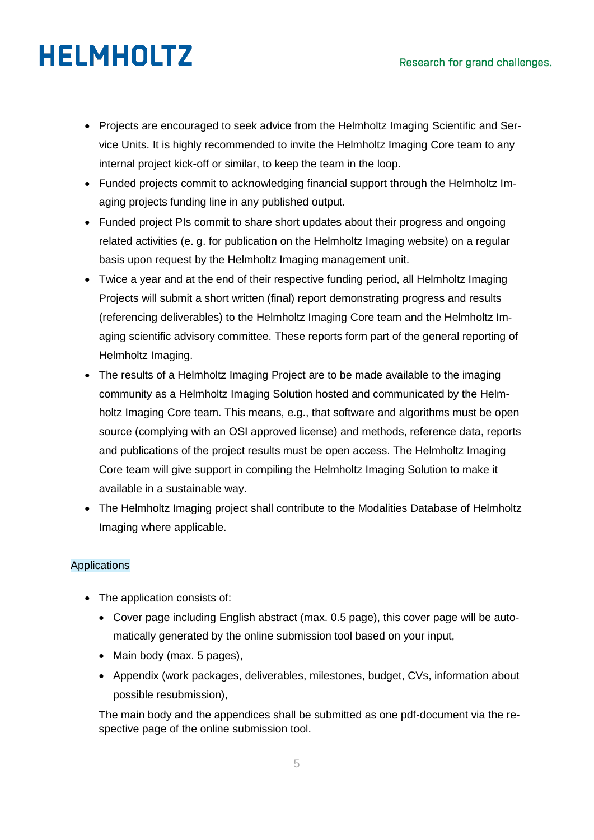- Projects are encouraged to seek advice from the Helmholtz Imaging Scientific and Service Units. It is highly recommended to invite the Helmholtz Imaging Core team to any internal project kick-off or similar, to keep the team in the loop.
- Funded projects commit to acknowledging financial support through the Helmholtz Imaging projects funding line in any published output.
- Funded project PIs commit to share short updates about their progress and ongoing related activities (e. g. for publication on the Helmholtz Imaging website) on a regular basis upon request by the Helmholtz Imaging management unit.
- Twice a year and at the end of their respective funding period, all Helmholtz Imaging Projects will submit a short written (final) report demonstrating progress and results (referencing deliverables) to the Helmholtz Imaging Core team and the Helmholtz Imaging scientific advisory committee. These reports form part of the general reporting of Helmholtz Imaging.
- The results of a Helmholtz Imaging Project are to be made available to the imaging community as a Helmholtz Imaging Solution hosted and communicated by the Helmholtz Imaging Core team. This means, e.g., that software and algorithms must be open source (complying with an OSI approved license) and methods, reference data, reports and publications of the project results must be open access. The Helmholtz Imaging Core team will give support in compiling the Helmholtz Imaging Solution to make it available in a sustainable way.
- The Helmholtz Imaging project shall contribute to the Modalities Database of Helmholtz Imaging where applicable.

### Applications

- The application consists of:
	- Cover page including English abstract (max. 0.5 page), this cover page will be automatically generated by the online submission tool based on your input,
	- Main body (max. 5 pages),
	- Appendix (work packages, deliverables, milestones, budget, CVs, information about possible resubmission),

The main body and the appendices shall be submitted as one pdf-document via the respective page of the online submission tool.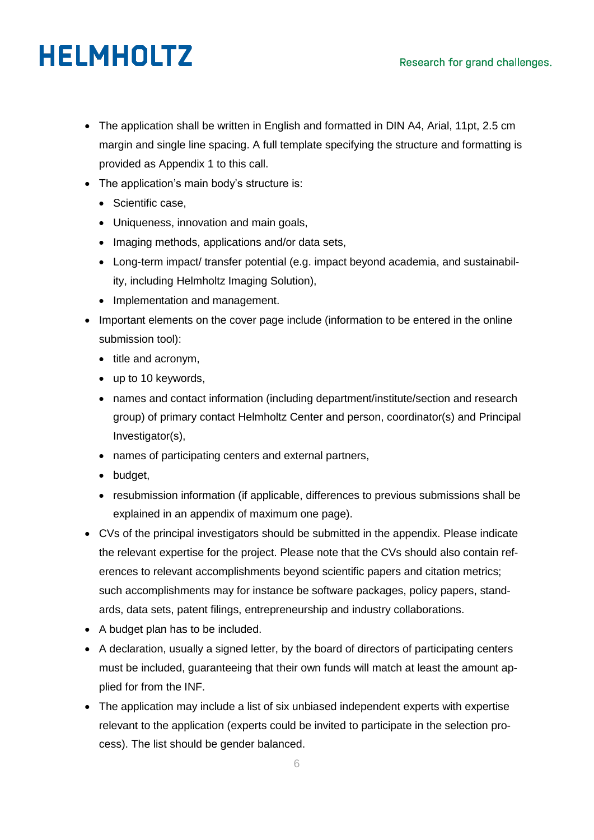- The application shall be written in English and formatted in DIN A4, Arial, 11pt, 2.5 cm margin and single line spacing. A full template specifying the structure and formatting is provided as Appendix 1 to this call.
- The application's main body's structure is:
	- Scientific case.
	- Uniqueness, innovation and main goals,
	- Imaging methods, applications and/or data sets,
	- Long-term impact/ transfer potential (e.g. impact beyond academia, and sustainability, including Helmholtz Imaging Solution),
	- Implementation and management.
- Important elements on the cover page include (information to be entered in the online submission tool):
	- $\bullet$  title and acronym,
	- up to 10 keywords,
	- names and contact information (including department/institute/section and research group) of primary contact Helmholtz Center and person, coordinator(s) and Principal Investigator(s),
	- names of participating centers and external partners,
	- budget,
	- resubmission information (if applicable, differences to previous submissions shall be explained in an appendix of maximum one page).
- CVs of the principal investigators should be submitted in the appendix. Please indicate the relevant expertise for the project. Please note that the CVs should also contain references to relevant accomplishments beyond scientific papers and citation metrics; such accomplishments may for instance be software packages, policy papers, standards, data sets, patent filings, entrepreneurship and industry collaborations.
- A budget plan has to be included.
- A declaration, usually a signed letter, by the board of directors of participating centers must be included, guaranteeing that their own funds will match at least the amount applied for from the INF.
- The application may include a list of six unbiased independent experts with expertise relevant to the application (experts could be invited to participate in the selection process). The list should be gender balanced.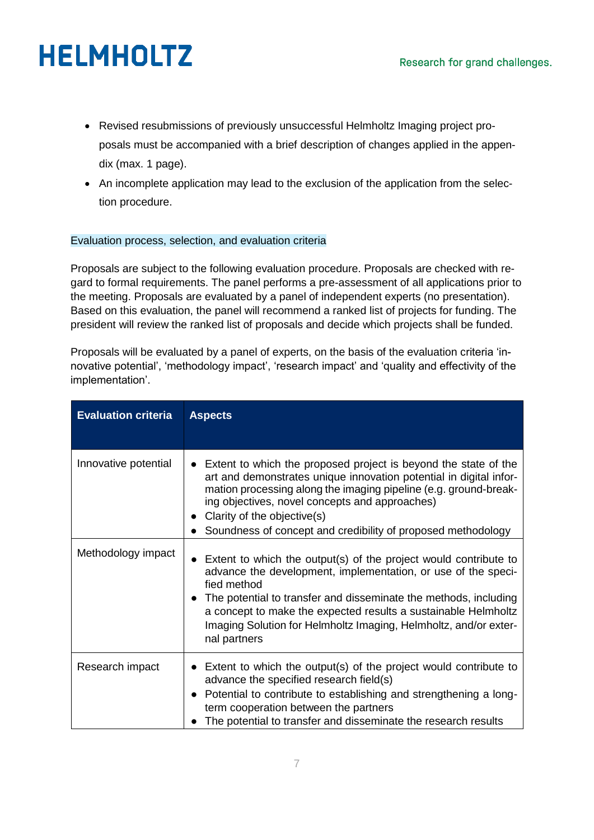- Revised resubmissions of previously unsuccessful Helmholtz Imaging project proposals must be accompanied with a brief description of changes applied in the appendix (max. 1 page).
- An incomplete application may lead to the exclusion of the application from the selection procedure.

### Evaluation process, selection, and evaluation criteria

Proposals are subject to the following evaluation procedure. Proposals are checked with regard to formal requirements. The panel performs a pre-assessment of all applications prior to the meeting. Proposals are evaluated by a panel of independent experts (no presentation). Based on this evaluation, the panel will recommend a ranked list of projects for funding. The president will review the ranked list of proposals and decide which projects shall be funded.

Proposals will be evaluated by a panel of experts, on the basis of the evaluation criteria 'innovative potential', 'methodology impact', 'research impact' and 'quality and effectivity of the implementation'.

| <b>Evaluation criteria</b> | <b>Aspects</b>                                                                                                                                                                                                                                                                                                                                                             |
|----------------------------|----------------------------------------------------------------------------------------------------------------------------------------------------------------------------------------------------------------------------------------------------------------------------------------------------------------------------------------------------------------------------|
| Innovative potential       | Extent to which the proposed project is beyond the state of the<br>art and demonstrates unique innovation potential in digital infor-<br>mation processing along the imaging pipeline (e.g. ground-break-<br>ing objectives, novel concepts and approaches)<br>Clarity of the objective(s)<br>Soundness of concept and credibility of proposed methodology                 |
| Methodology impact         | Extent to which the output(s) of the project would contribute to<br>advance the development, implementation, or use of the speci-<br>fied method<br>The potential to transfer and disseminate the methods, including<br>a concept to make the expected results a sustainable Helmholtz<br>Imaging Solution for Helmholtz Imaging, Helmholtz, and/or exter-<br>nal partners |
| Research impact            | Extent to which the output(s) of the project would contribute to<br>$\bullet$<br>advance the specified research field(s)<br>Potential to contribute to establishing and strengthening a long-<br>$\bullet$<br>term cooperation between the partners<br>The potential to transfer and disseminate the research results                                                      |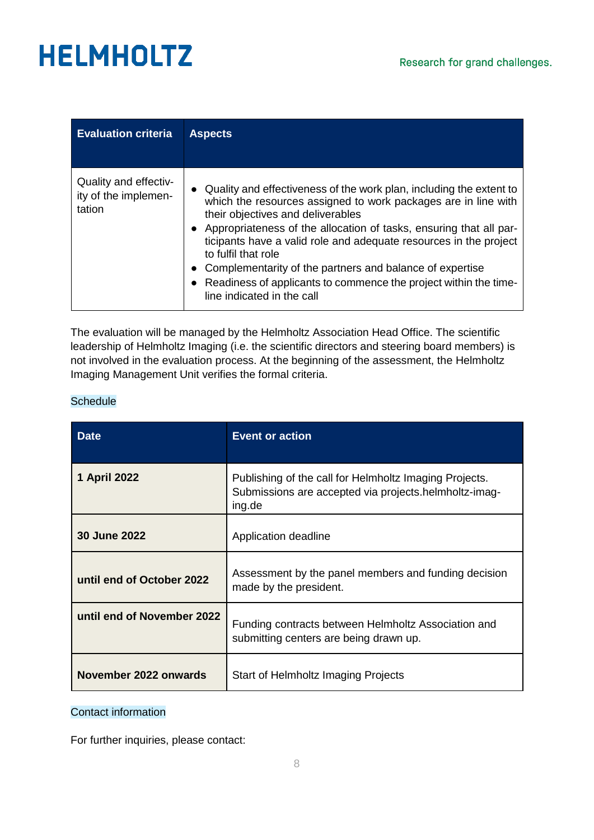| <b>Evaluation criteria</b>                              | <b>Aspects</b>                                                                                                                                                                                                                                                                                                                                                                                                                                                                                               |
|---------------------------------------------------------|--------------------------------------------------------------------------------------------------------------------------------------------------------------------------------------------------------------------------------------------------------------------------------------------------------------------------------------------------------------------------------------------------------------------------------------------------------------------------------------------------------------|
| Quality and effectiv-<br>ity of the implemen-<br>tation | Quality and effectiveness of the work plan, including the extent to<br>which the resources assigned to work packages are in line with<br>their objectives and deliverables<br>• Appropriateness of the allocation of tasks, ensuring that all par-<br>ticipants have a valid role and adequate resources in the project<br>to fulfil that role<br>Complementarity of the partners and balance of expertise<br>Readiness of applicants to commence the project within the time-<br>line indicated in the call |

The evaluation will be managed by the Helmholtz Association Head Office. The scientific leadership of Helmholtz Imaging (i.e. the scientific directors and steering board members) is not involved in the evaluation process. At the beginning of the assessment, the Helmholtz Imaging Management Unit verifies the formal criteria.

### **Schedule**

| <b>Date</b>                | <b>Event or action</b>                                                                                                    |
|----------------------------|---------------------------------------------------------------------------------------------------------------------------|
| 1 April 2022               | Publishing of the call for Helmholtz Imaging Projects.<br>Submissions are accepted via projects.helmholtz-imag-<br>ing.de |
| 30 June 2022               | Application deadline                                                                                                      |
| until end of October 2022  | Assessment by the panel members and funding decision<br>made by the president.                                            |
| until end of November 2022 | Funding contracts between Helmholtz Association and<br>submitting centers are being drawn up.                             |
| November 2022 onwards      | Start of Helmholtz Imaging Projects                                                                                       |

#### Contact information

For further inquiries, please contact: